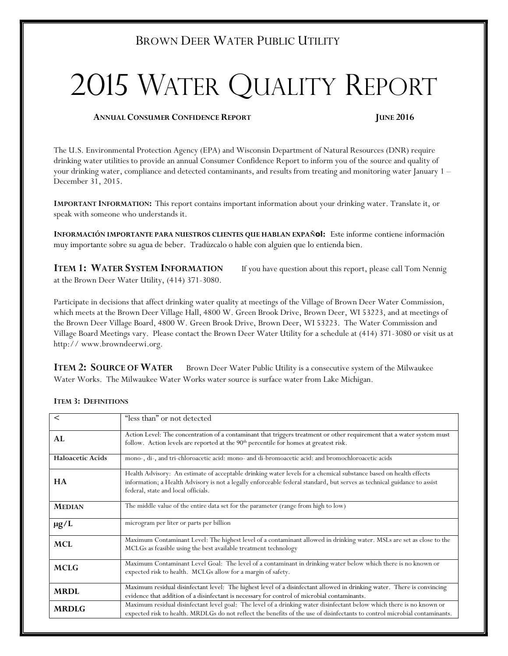# BROWN DEER WATER PUBLIC UTILITY

# 2015 WATER QUALITY REPORT

#### ANNUAL CONSUMER CONFIDENCE REPORT JUNE 2016

The U.S. Environmental Protection Agency (EPA) and Wisconsin Department of Natural Resources (DNR) require drinking water utilities to provide an annual Consumer Confidence Report to inform you of the source and quality of your drinking water, compliance and detected contaminants, and results from treating and monitoring water January 1 – December 31, 2015.

IMPORTANT INFORMATION: This report contains important information about your drinking water. Translate it, or speak with someone who understands it.

INFORMACIÓN IMPORTANTE PARA NUESTROS CLIENTES QUE HABLAN EXPAÑOI: Este informe contiene información muy importante sobre su agua de beber. Tradúzcalo o hable con alguien que lo entienda bien.

**ITEM 1: WATER SYSTEM INFORMATION** If you have question about this report, please call Tom Nennig at the Brown Deer Water Utility, (414) 371-3080.

Participate in decisions that affect drinking water quality at meetings of the Village of Brown Deer Water Commission, which meets at the Brown Deer Village Hall, 4800 W. Green Brook Drive, Brown Deer, WI 53223, and at meetings of the Brown Deer Village Board, 4800 W. Green Brook Drive, Brown Deer, WI 53223. The Water Commission and Village Board Meetings vary. Please contact the Brown Deer Water Utility for a schedule at (414) 371-3080 or visit us at http:// www.browndeerwi.org.

**ITEM 2: SOURCE OF WATER** Brown Deer Water Public Utility is a consecutive system of the Milwaukee Water Works. The Milwaukee Water Works water source is surface water from Lake Michigan.

| $\,<\,$                 | "less than" or not detected                                                                                                                                                                                                                                                          |
|-------------------------|--------------------------------------------------------------------------------------------------------------------------------------------------------------------------------------------------------------------------------------------------------------------------------------|
| AL.                     | Action Level: The concentration of a contaminant that triggers treatment or other requirement that a water system must<br>follow. Action levels are reported at the 90 <sup>th</sup> percentile for homes at greatest risk.                                                          |
| <b>Haloacetic Acids</b> | mono-, di-, and tri-chloroacetic acid: mono- and di-bromoacetic acid: and bromochloroacetic acids                                                                                                                                                                                    |
| <b>HA</b>               | Health Advisory: An estimate of acceptable drinking water levels for a chemical substance based on health effects<br>information; a Health Advisory is not a legally enforceable federal standard, but serves as technical guidance to assist<br>federal, state and local officials. |
| <b>MEDIAN</b>           | The middle value of the entire data set for the parameter (range from high to low)                                                                                                                                                                                                   |
| $\mu$ g/L               | microgram per liter or parts per billion                                                                                                                                                                                                                                             |
| MCL                     | Maximum Contaminant Level: The highest level of a contaminant allowed in drinking water. MSLs are set as close to the<br>MCLGs as feasible using the best available treatment technology                                                                                             |
| <b>MCLG</b>             | Maximum Contaminant Level Goal: The level of a contaminant in drinking water below which there is no known or<br>expected risk to health. MCLGs allow for a margin of safety.                                                                                                        |
| <b>MRDL</b>             | Maximum residual disinfectant level: The highest level of a disinfectant allowed in drinking water. There is convincing<br>evidence that addition of a disinfectant is necessary for control of microbial contaminants.                                                              |
| <b>MRDLG</b>            | Maximum residual disinfectant level goal: The level of a drinking water disinfectant below which there is no known or<br>expected risk to health. MRDLGs do not reflect the benefits of the use of disinfectants to control microbial contaminants.                                  |

#### ITEM 3: DEFINITIONS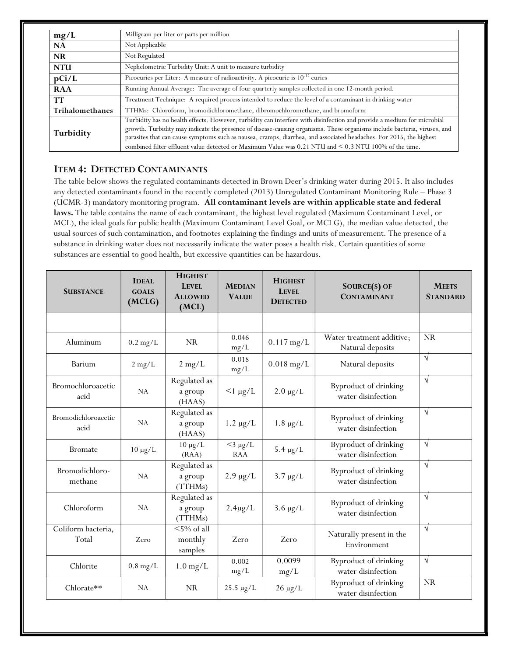| mg/L                   | Milligram per liter or parts per million                                                                                                                                                                                                                                                                                                                                                                                                                                           |
|------------------------|------------------------------------------------------------------------------------------------------------------------------------------------------------------------------------------------------------------------------------------------------------------------------------------------------------------------------------------------------------------------------------------------------------------------------------------------------------------------------------|
| <b>NA</b>              | Not Applicable                                                                                                                                                                                                                                                                                                                                                                                                                                                                     |
| <b>NR</b>              | Not Regulated                                                                                                                                                                                                                                                                                                                                                                                                                                                                      |
| <b>NTU</b>             | Nephelometric Turbidity Unit: A unit to measure turbidity                                                                                                                                                                                                                                                                                                                                                                                                                          |
| pCi/L                  | Picocuries per Liter: A measure of radioactivity. A picocurie is $10^{-12}$ curies                                                                                                                                                                                                                                                                                                                                                                                                 |
| <b>RAA</b>             | Running Annual Average: The average of four quarterly samples collected in one 12-month period.                                                                                                                                                                                                                                                                                                                                                                                    |
| <b>TT</b>              | Treatment Technique: A required process intended to reduce the level of a contaminant in drinking water                                                                                                                                                                                                                                                                                                                                                                            |
| <b>Trihalomethanes</b> | TTHMs: Chloroform, bromodichloromethane, dibromochloromethane, and bromoform                                                                                                                                                                                                                                                                                                                                                                                                       |
| Turbidity              | Turbidity has no health effects. However, turbidity can interfere with disinfection and provide a medium for microbial<br>growth. Turbidity may indicate the presence of disease-causing organisms. These organisms include bacteria, viruses, and<br>parasites that can cause symptoms such as nausea, cramps, diarrhea, and associated headaches. For 2015, the highest<br>combined filter effluent value detected or Maximum Value was 0.21 NTU and < 0.3 NTU 100% of the time. |

## ITEM 4: DETECTED CONTAMINANTS

The table below shows the regulated contaminants detected in Brown Deer's drinking water during 2015. It also includes any detected contaminants found in the recently completed (2013) Unregulated Contaminant Monitoring Rule – Phase 3 (UCMR-3) mandatory monitoring program. All contaminant levels are within applicable state and federal laws. The table contains the name of each contaminant, the highest level regulated (Maximum Contaminant Level, or MCL), the ideal goals for public health (Maximum Contaminant Level Goal, or MCLG), the median value detected, the usual sources of such contamination, and footnotes explaining the findings and units of measurement. The presence of a substance in drinking water does not necessarily indicate the water poses a health risk. Certain quantities of some substances are essential to good health, but excessive quantities can be hazardous.

| <b>SUBSTANCE</b>            | <b>IDEAL</b><br><b>GOALS</b><br>(MCLG) | <b>HIGHEST</b><br><b>LEVEL</b><br><b>ALLOWED</b><br>(MCL) | <b>MEDIAN</b><br><b>VALUE</b> | <b>HIGHEST</b><br><b>LEVEL</b><br><b>DETECTED</b> | SOURCE(S) OF<br><b>CONTAMINANT</b>            | <b>MEETS</b><br><b>STANDARD</b> |
|-----------------------------|----------------------------------------|-----------------------------------------------------------|-------------------------------|---------------------------------------------------|-----------------------------------------------|---------------------------------|
|                             |                                        |                                                           |                               |                                                   |                                               |                                 |
| Aluminum                    | $0.2$ mg/L                             | <b>NR</b>                                                 | 0.046<br>mg/L                 | $0.117$ mg/L                                      | Water treatment additive;<br>Natural deposits | NR                              |
| Barium                      | $2$ mg/L                               | $2$ mg/L                                                  | 0.018<br>mg/L                 | $0.018$ mg/L                                      | Natural deposits                              | $\sqrt{ }$                      |
| Bromochloroacetic<br>acid   | NA                                     | Regulated as<br>a group<br>(HAAS)                         | $<$ 1 µg/L                    | $2.0 \mu g/L$                                     | Byproduct of drinking<br>water disinfection   | $\sqrt{ }$                      |
| Bromodichloroacetic<br>acid | NA                                     | Regulated as<br>a group<br>(HAAS)                         | $1.2 \mu g/L$                 | $1.8 \mu g/L$                                     | Byproduct of drinking<br>water disinfection   | $\sqrt{ }$                      |
| <b>Bromate</b>              | $10 \mu g/L$                           | $10 \mu g/L$<br>(RAA)                                     | $<$ 3 µg/L<br><b>RAA</b>      | $5.4 \mu g/L$                                     | Byproduct of drinking<br>water disinfection   | $\sqrt{}$                       |
| Bromodichloro-<br>methane   | NA                                     | Regulated as<br>a group<br>(TTHMs)                        | $2.9 \mu g/L$                 | $3.7 \mu g/L$                                     | Byproduct of drinking<br>water disinfection   | $\sqrt{ }$                      |
| Chloroform                  | NA                                     | Regulated as<br>a group<br>(TTHMs)                        | $2.4\mu g/L$                  | $3.6 \mu g/L$                                     | Byproduct of drinking<br>water disinfection   | $\sqrt{ }$                      |
| Coliform bacteria,<br>Total | Zero                                   | $<$ 5% of all<br>monthly<br>samples                       | Zero                          | Zero                                              | Naturally present in the<br>Environment       | $\sqrt{ }$                      |
| Chlorite                    | $0.8$ mg/L                             | $1.0 \,\mathrm{mg/L}$                                     | 0.002<br>mg/L                 | 0.0099<br>mg/L                                    | Byproduct of drinking<br>water disinfection   | $\sqrt{ }$                      |
| Chlorate**                  | NA                                     | NR                                                        | $25.5 \ \mu g/L$              | $26 \mu g/L$                                      | Byproduct of drinking<br>water disinfection   | <b>NR</b>                       |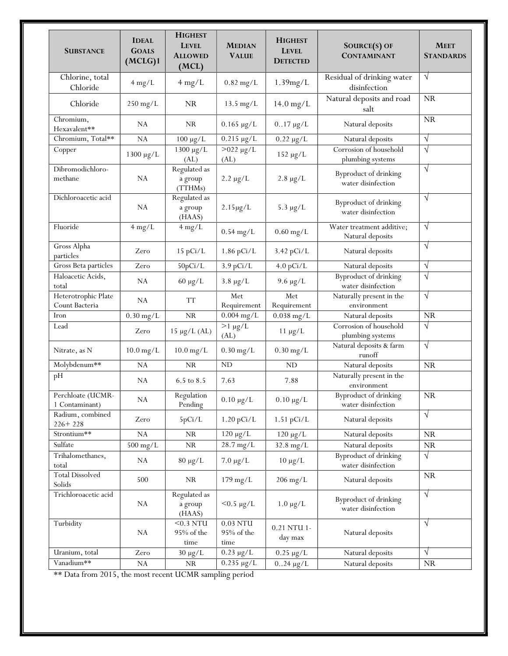| <b>SUBSTANCE</b>                      | <b>IDEAL</b><br><b>GOALS</b><br>(MCLG)1 | <b>HIGHEST</b><br><b>LEVEL</b><br><b>ALLOWED</b><br>(MCL) | <b>MEDIAN</b><br><b>VALUE</b>       | <b>HIGHEST</b><br><b>LEVEL</b><br><b>DETECTED</b> | SOURCE(S) OF<br><b>CONTAMINANT</b>            | <b>MEET</b><br><b>STANDARDS</b> |
|---------------------------------------|-----------------------------------------|-----------------------------------------------------------|-------------------------------------|---------------------------------------------------|-----------------------------------------------|---------------------------------|
| Chlorine, total<br>Chloride           | $4 \text{ mg/L}$                        | $4 \text{ mg/L}$                                          | $0.82$ mg/L                         | 1.39mg/L                                          | Residual of drinking water<br>disinfection    | $\sqrt{}$                       |
| Chloride                              | $250$ mg/L                              | NR.                                                       | $13.5 \text{ mg/L}$                 | $14.0$ mg/L                                       | Natural deposits and road<br>salt             | NR                              |
| Chromium,<br>Hexavalent**             | NA                                      | <b>NR</b>                                                 | $0.165 \mu g/L$                     | $017 \mu g/L$                                     | Natural deposits                              | <b>NR</b>                       |
| Chromium, Total**                     | NA                                      | $100 \mu g/L$                                             | $0.215 \mu g/L$                     | $0.22 \mu g/L$                                    | Natural deposits                              | $\sqrt{}$                       |
| Copper                                | 1300 µg/L                               | 1300 µg/L<br>(AL)                                         | $>022 \mu g/L$<br>(AL)              | $152 \mu g/L$                                     | Corrosion of household<br>plumbing systems    | $\sqrt{ }$                      |
| Dibromodichloro-<br>methane           | NA                                      | Regulated as<br>a group<br>(TTHMs)                        | $2.2 \mu g/L$                       | $2.8 \mu g/L$                                     | Byproduct of drinking<br>water disinfection   | $\sqrt{ }$                      |
| Dichloroacetic acid                   | NA                                      | Regulated as<br>a group<br>(HAAS)                         | $2.15 \mu g/L$                      | $5.3 \mu g/L$                                     | Byproduct of drinking<br>water disinfection   | $\sqrt{ }$                      |
| Fluoride                              | $4 \text{ mg/L}$                        | $4$ mg/L                                                  | $0.54$ mg/L                         | $0.60$ mg/L                                       | Water treatment additive;<br>Natural deposits | $\sqrt{ }$                      |
| Gross Alpha<br>particles              | Zero                                    | 15 pCi/L                                                  | $1.86$ pCi/L                        | $3.42$ pCi/L                                      | Natural deposits                              | $\sqrt{ }$                      |
| Gross Beta particles                  | Zero                                    | 50pCi/L                                                   | $3.9$ pCi/L                         | $4.0$ pCi/L                                       | Natural deposits                              | $\sqrt{}$                       |
| Haloacetic Acids,<br>total            | NA                                      | $60 \mu g/L$                                              | $3.8 \mu g/L$                       | $9.6 \mu g/L$                                     | Byproduct of drinking<br>water disinfection   | $\sqrt{}$                       |
| Heterotrophic Plate<br>Count Bacteria | NA                                      | <b>TT</b>                                                 | Met<br>Requirement                  | Met<br>Requirement                                | Naturally present in the<br>environment       | $\sqrt{ }$                      |
| Iron                                  | $0.30$ mg/L                             | $\rm NR$                                                  | $0.004$ mg/L                        | $0.038$ mg/L                                      | Natural deposits                              | <b>NR</b>                       |
| Lead                                  | Zero                                    | $15 \mu g/L (AL)$                                         | $>1 \mu g/L$<br>(AL)                | $11 \mu g/L$                                      | Corrosion of household<br>plumbing systems    | $\sqrt{}$                       |
| Nitrate, as N                         | $10.0$ mg/L                             | $10.0$ mg/L                                               | $0.30$ mg/L                         | $0.30$ mg/L                                       | Natural deposits & farm<br>runoff             | $\sqrt{ }$                      |
| Molybdenum**                          | NA                                      | <b>NR</b>                                                 | <b>ND</b>                           | <b>ND</b>                                         | Natural deposits                              | NR                              |
| pH                                    | NA                                      | 6.5 to 8.5                                                | 7.63                                | 7.88                                              | Naturally present in the<br>environment       |                                 |
| Perchloate (UCMR-<br>1 Contaminant)   | NA                                      | Regulation<br>Pending                                     | $0.10 \mu g/L$                      | $0.10 \mu g/L$                                    | Byproduct of drinking<br>water disinfection   | <b>NR</b>                       |
| Radium, combined<br>$226 + 228$       | Zero                                    | 5pCi/L                                                    | $1.20$ pCi/L                        | $1.51$ pCi/L                                      | Natural deposits                              | $\sqrt{ }$                      |
| Strontium**                           | NA                                      | <b>NR</b>                                                 | $120 \mu g/L$                       | $120 \mu g/L$                                     | Natural deposits                              | NR.                             |
| Sulfate                               | $500$ mg/L                              | ${\rm NR}$                                                | 28.7 mg/L                           | $32.8$ mg/L                                       | Natural deposits                              | ${\rm NR}$                      |
| Trihalomethanes,<br>total             | NA                                      | $80 \mu g/L$                                              | $7.0 \mu g/L$                       | $10 \mu g/L$                                      | Byproduct of drinking<br>water disinfection   | $\sqrt{}$                       |
| <b>Total Dissolved</b><br>Solids      | 500                                     | <b>NR</b>                                                 | $179 \text{ mg/L}$                  | $206$ mg/L                                        | Natural deposits                              | NR                              |
| Trichloroacetic acid                  | ${\rm NA}$                              | Regulated as<br>a group<br>(HAAS)                         | $< 0.5 \mu g/L$                     | $1.0 \mu g/L$                                     | Byproduct of drinking<br>water disinfection   | $\sqrt{}$                       |
| Turbidity                             | NA                                      | $<$ 0.3 NTU<br>95% of the<br>time                         | $0.03$ NTU<br>$95\%$ of the<br>time | 0.21 NTU 1-<br>day max                            | Natural deposits                              | $\sqrt{}$                       |
| Uranium, total                        | Zero                                    | $30 \mu g/L$                                              | $0.23 \mu g/L$                      | $0.25 \mu g/L$                                    | Natural deposits                              | $\sqrt{ }$                      |
| Vanadium**                            | NA                                      | <b>NR</b>                                                 | $0.235 \mu g/L$                     | $0.24 \mu g/L$                                    | Natural deposits                              | NR.                             |
|                                       |                                         | $\sim$ $\sim$ $\sim$ $\sim$                               |                                     |                                                   |                                               |                                 |

\*\* Data from 2015, the most recent UCMR sampling period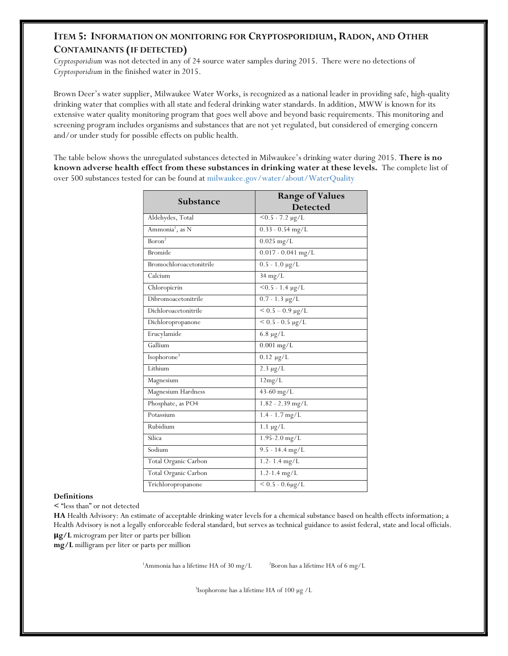# ITEM 5: INFORMATION ON MONITORING FOR CRYPTOSPORIDIUM, RADON, AND OTHER CONTAMINANTS (IF DETECTED)

Cryptosporidium was not detected in any of 24 source water samples during 2015. There were no detections of Cryptosporidium in the finished water in 2015.

Brown Deer's water supplier, Milwaukee Water Works, is recognized as a national leader in providing safe, high-quality drinking water that complies with all state and federal drinking water standards. In addition, MWW is known for its extensive water quality monitoring program that goes well above and beyond basic requirements. This monitoring and screening program includes organisms and substances that are not yet regulated, but considered of emerging concern and/or under study for possible effects on public health.

The table below shows the unregulated substances detected in Milwaukee's drinking water during 2015. There is no known adverse health effect from these substances in drinking water at these levels. The complete list of over 500 substances tested for can be found at milwaukee.gov/water/about/WaterQuality

| Substance                   | <b>Range of Values</b><br><b>Detected</b> |
|-----------------------------|-------------------------------------------|
| Aldehydes, Total            | $<$ 0.5 - 7.2 $\mu$ g/L                   |
| Ammonia <sup>1</sup> , as N | $0.33 - 0.54$ mg/L                        |
| Boron <sup>2</sup>          | $0.025$ mg/L                              |
| <b>Bromide</b>              | $0.017 - 0.041$ mg/L                      |
| Bromochloroacetonitrile     | $0.5 - 1.0 \text{ µg/L}$                  |
| Calcium                     | $34 \text{ mg/L}$                         |
| Chloropicrin                | $\frac{1}{6}$ - 1.4 $\mu$ g/L             |
| Dibromoacetonitrile         | $0.7 - 1.3 \mu g/L$                       |
| Dichloroacetonitrile        | $< 0.5 - 0.9$ µg/L                        |
| Dichloropropanone           | $< 0.5 - 0.5 \mu g/L$                     |
| Erucylamide                 | $6.8 \ \mu g/L$                           |
| Gallium                     | $0.001$ mg/L                              |
| Isophorone <sup>3</sup>     | $0.12 \mu g/L$                            |
| Lithium                     | $2.3 \mu g/L$                             |
| Magnesium                   | 12mg/L                                    |
| Magnesium Hardness          | $43 - 60$ mg/L                            |
| Phosphate, as PO4           | $1.82 - 2.39$ mg/L                        |
| Potassium                   | $1.4 - 1.7$ mg/L                          |
| Rubidium                    | $1.1 \mu g/L$                             |
| Silica                      | 1.95-2.0 mg/L                             |
| Sodium                      | $9.5 - 14.4$ mg/L                         |
| Total Organic Carbon        | 1.2-1.4 $mg/L$                            |
| Total Organic Carbon        | $1.2 - 1.4$ mg/L                          |
| Trichloropropanone          | $< 0.5 - 0.6 \mu g/L$                     |

#### Definitions

< "less than" or not detected

HA Health Advisory: An estimate of acceptable drinking water levels for a chemical substance based on health effects information; a Health Advisory is not a legally enforceable federal standard, but serves as technical guidance to assist federal, state and local officials. μg/L microgram per liter or parts per billion

mg/L milligram per liter or parts per million

<sup>1</sup>Ammonia has a lifetime HA of 30 mg/L  $2B$ oron has a lifetime HA of 6 mg/L

3 Isophorone has a lifetime HA of 100 µg /L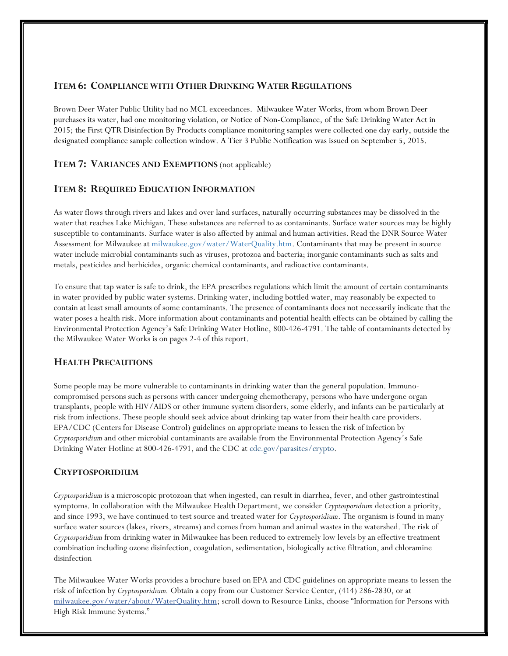#### ITEM 6: COMPLIANCE WITH OTHER DRINKING WATER REGULATIONS

Brown Deer Water Public Utility had no MCL exceedances. Milwaukee Water Works, from whom Brown Deer purchases its water, had one monitoring violation, or Notice of Non-Compliance, of the Safe Drinking Water Act in 2015; the First QTR Disinfection By-Products compliance monitoring samples were collected one day early, outside the designated compliance sample collection window. A Tier 3 Public Notification was issued on September 5, 2015.

### **ITEM 7: VARIANCES AND EXEMPTIONS** (not applicable)

### ITEM 8: REQUIRED EDUCATION INFORMATION

As water flows through rivers and lakes and over land surfaces, naturally occurring substances may be dissolved in the water that reaches Lake Michigan. These substances are referred to as contaminants. Surface water sources may be highly susceptible to contaminants. Surface water is also affected by animal and human activities. Read the DNR Source Water Assessment for Milwaukee at milwaukee.gov/water/WaterQuality.htm. Contaminants that may be present in source water include microbial contaminants such as viruses, protozoa and bacteria; inorganic contaminants such as salts and metals, pesticides and herbicides, organic chemical contaminants, and radioactive contaminants.

To ensure that tap water is safe to drink, the EPA prescribes regulations which limit the amount of certain contaminants in water provided by public water systems. Drinking water, including bottled water, may reasonably be expected to contain at least small amounts of some contaminants. The presence of contaminants does not necessarily indicate that the water poses a health risk. More information about contaminants and potential health effects can be obtained by calling the Environmental Protection Agency's Safe Drinking Water Hotline, 800-426-4791. The table of contaminants detected by the Milwaukee Water Works is on pages 2-4 of this report.

### HEALTH PRECAUTIONS

Some people may be more vulnerable to contaminants in drinking water than the general population. Immunocompromised persons such as persons with cancer undergoing chemotherapy, persons who have undergone organ transplants, people with HIV/AIDS or other immune system disorders, some elderly, and infants can be particularly at risk from infections. These people should seek advice about drinking tap water from their health care providers. EPA/CDC (Centers for Disease Control) guidelines on appropriate means to lessen the risk of infection by Cryptosporidium and other microbial contaminants are available from the Environmental Protection Agency's Safe Drinking Water Hotline at 800-426-4791, and the CDC at cdc.gov/parasites/crypto.

#### CRYPTOSPORIDIUM

Cryptosporidium is a microscopic protozoan that when ingested, can result in diarrhea, fever, and other gastrointestinal symptoms. In collaboration with the Milwaukee Health Department, we consider Cryptosporidium detection a priority, and since 1993, we have continued to test source and treated water for Cryptosporidium. The organism is found in many surface water sources (lakes, rivers, streams) and comes from human and animal wastes in the watershed. The risk of Cryptosporidium from drinking water in Milwaukee has been reduced to extremely low levels by an effective treatment combination including ozone disinfection, coagulation, sedimentation, biologically active filtration, and chloramine disinfection

The Milwaukee Water Works provides a brochure based on EPA and CDC guidelines on appropriate means to lessen the risk of infection by Cryptosporidium. Obtain a copy from our Customer Service Center, (414) 286-2830, or at milwaukee.gov/water/about/WaterQuality.htm; scroll down to Resource Links, choose "Information for Persons with High Risk Immune Systems."